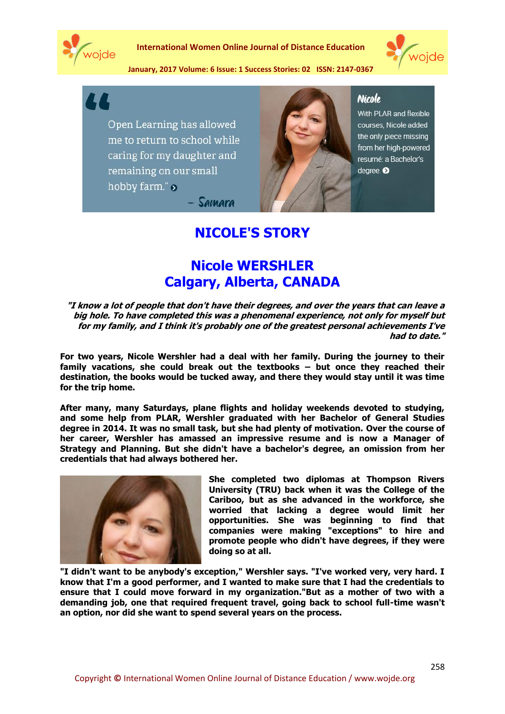

**International Women Online Journal of Distance Education**



**January, 2017 Volume: 6 Issue: 1 Success Stories: 02 ISSN: 2147-0367**



Open Learning has allowed me to return to school while caring for my daughter and remaining on our small hobby farm." $\delta$ Samara



#### **Nicole**

With PLAR and flexible courses, Nicole added the only piece missing from her high-powered resumé: a Bachelor's degree.

# **NICOLE'S STORY**

## **Nicole WERSHLER Calgary, Alberta, CANADA**

**"I know a lot of people that don't have their degrees, and over the years that can leave a big hole. To have completed this was a phenomenal experience, not only for myself but for my family, and I think it's probably one of the greatest personal achievements I've had to date."**

**For two years, Nicole Wershler had a deal with her family. During the journey to their family vacations, she could break out the textbooks – but once they reached their destination, the books would be tucked away, and there they would stay until it was time for the trip home.**

**After many, many Saturdays, plane flights and holiday weekends devoted to studying, and some help from PLAR, Wershler graduated with her Bachelor of General Studies degree in 2014. It was no small task, but she had plenty of motivation. Over the course of her career, Wershler has amassed an impressive resume and is now a Manager of Strategy and Planning. But she didn't have a bachelor's degree, an omission from her credentials that had always bothered her.**



**She completed two diplomas at Thompson Rivers University (TRU) back when it was the College of the Cariboo, but as she advanced in the workforce, she worried that lacking a degree would limit her opportunities. She was beginning to find that companies were making "exceptions" to hire and promote people who didn't have degrees, if they were doing so at all.**

**"I didn't want to be anybody's exception," Wershler says. "I've worked very, very hard. I know that I'm a good performer, and I wanted to make sure that I had the credentials to ensure that I could move forward in my organization."But as a mother of two with a demanding job, one that required frequent travel, going back to school full-time wasn't an option, nor did she want to spend several years on the process.**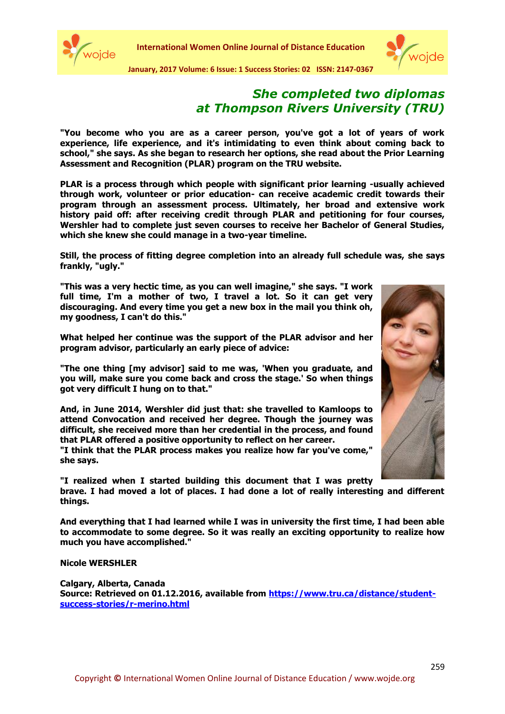



**January, 2017 Volume: 6 Issue: 1 Success Stories: 02 ISSN: 2147-0367**

#### *She completed two diplomas at Thompson Rivers University (TRU)*

**"You become who you are as a career person, you've got a lot of years of work experience, life experience, and it's intimidating to even think about coming back to school," she says. As she began to research her options, she read about the Prior Learning Assessment and Recognition (PLAR) program on the TRU website.** 

**PLAR is a process through which people with significant prior learning -usually achieved through work, volunteer or prior education- can receive academic credit towards their program through an assessment process. Ultimately, her broad and extensive work history paid off: after receiving credit through PLAR and petitioning for four courses, Wershler had to complete just seven courses to receive her Bachelor of General Studies, which she knew she could manage in a two-year timeline.** 

**Still, the process of fitting degree completion into an already full schedule was, she says frankly, "ugly."**

**"This was a very hectic time, as you can well imagine," she says. "I work full time, I'm a mother of two, I travel a lot. So it can get very discouraging. And every time you get a new box in the mail you think oh, my goodness, I can't do this."**

**What helped her continue was the support of the PLAR advisor and her program advisor, particularly an early piece of advice:** 

**"The one thing [my advisor] said to me was, 'When you graduate, and you will, make sure you come back and cross the stage.' So when things got very difficult I hung on to that."**

**And, in June 2014, Wershler did just that: she travelled to Kamloops to attend Convocation and received her degree. Though the journey was difficult, she received more than her credential in the process, and found that PLAR offered a positive opportunity to reflect on her career.**

**"I think that the PLAR process makes you realize how far you've come," she says.** 

**"I realized when I started building this document that I was pretty** 

**brave. I had moved a lot of places. I had done a lot of really interesting and different things.** 

**And everything that I had learned while I was in university the first time, I had been able to accommodate to some degree. So it was really an exciting opportunity to realize how much you have accomplished."**

**Nicole WERSHLER**

**Calgary, Alberta, Canada Source: Retrieved on 01.12.2016, available from [https://www.tru.ca/distance/student](https://www.tru.ca/distance/student-success-stories/r-merino.html)[success-stories/r-merino.html](https://www.tru.ca/distance/student-success-stories/r-merino.html)**